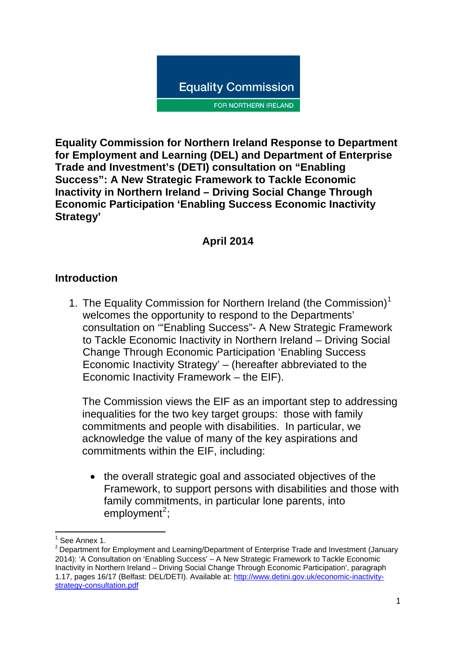

**Equality Commission for Northern Ireland Response to Department for Employment and Learning (DEL) and Department of Enterprise Trade and Investment's (DETI) consultation on "Enabling Success": A New Strategic Framework to Tackle Economic Inactivity in Northern Ireland – Driving Social Change Through Economic Participation 'Enabling Success Economic Inactivity Strategy'** 

# **April 2014**

#### **Introduction**

[1](#page-0-0). The Equality Commission for Northern Ireland (the Commission)<sup>1</sup> welcomes the opportunity to respond to the Departments' consultation on '"Enabling Success"- A New Strategic Framework to Tackle Economic Inactivity in Northern Ireland – Driving Social Change Through Economic Participation 'Enabling Success Economic Inactivity Strategy' – (hereafter abbreviated to the Economic Inactivity Framework – the EIF).

The Commission views the EIF as an important step to addressing inequalities for the two key target groups: those with family commitments and people with disabilities. In particular, we acknowledge the value of many of the key aspirations and commitments within the EIF, including:

• the overall strategic goal and associated objectives of the Framework, to support persons with disabilities and those with family commitments, in particular lone parents, into  $employment<sup>2</sup>$  $employment<sup>2</sup>$  $employment<sup>2</sup>$ ;

<sup>&</sup>lt;u> Andreas Andreas (1989)</u><br>The Common School (1989) <sup>1</sup> See Annex 1.

<span id="page-0-1"></span><span id="page-0-0"></span><sup>&</sup>lt;sup>2</sup> Department for Employment and Learning/Department of Enterprise Trade and Investment (January 2014): 'A Consultation on 'Enabling Success' – A New Strategic Framework to Tackle Economic Inactivity in Northern Ireland – Driving Social Change Through Economic Participation', paragraph 1.17, pages 16/17 (Belfast: DEL/DETI). Available at: [http://www.detini.gov.uk/economic-inactivity](http://www.detini.gov.uk/economic-inactivity-strategy-consultation.pdf)[strategy-consultation.pdf](http://www.detini.gov.uk/economic-inactivity-strategy-consultation.pdf)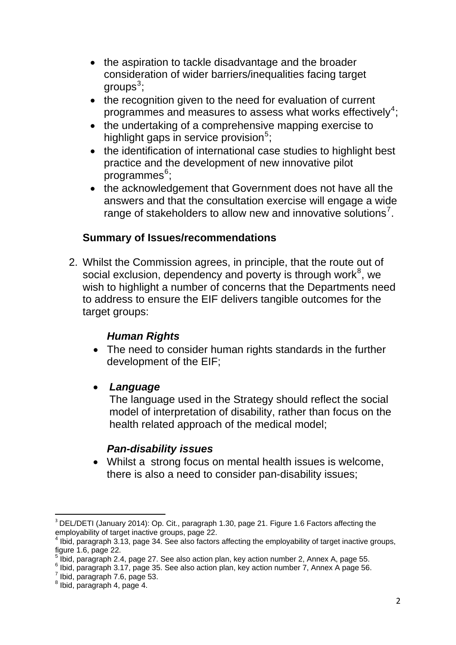- the aspiration to tackle disadvantage and the broader consideration of wider barriers/inequalities facing target groups $^3$  $^3$ ;
- the recognition given to the need for evaluation of current programmes and measures to assess what works effectively<sup>[4](#page-1-1)</sup>;
- the undertaking of a comprehensive mapping exercise to highlight gaps in service provision<sup>[5](#page-1-2)</sup>;
- the identification of international case studies to highlight best practice and the development of new innovative pilot  $10^{\circ}$ programmes $^{6}$  $^{6}$  $^{6}$ ;
- the acknowledgement that Government does not have all the answers and that the consultation exercise will engage a wide range of stakeholders to allow new and innovative solutions<sup>[7](#page-1-4)</sup>.

# **Summary of Issues/recommendations**

2. Whilst the Commission agrees, in principle, that the route out of social exclusion, dependency and poverty is through work $8^8$  $8^8$ , we wish to highlight a number of concerns that the Departments need to address to ensure the EIF delivers tangible outcomes for the target groups:

#### *Human Rights*

- The need to consider human rights standards in the further development of the EIF;
- *Language*

The language used in the Strategy should reflect the social model of interpretation of disability, rather than focus on the health related approach of the medical model;

#### *Pan-disability issues*

• Whilst a strong focus on mental health issues is welcome, there is also a need to consider pan-disability issues;

<span id="page-1-0"></span>  $3$  DEL/DETI (January 2014): Op. Cit., paragraph 1.30, page 21. Figure 1.6 Factors affecting the employability of target inactive groups, page 22.

<span id="page-1-1"></span><sup>&</sup>lt;sup>4</sup> Ibid, paragraph 3.13, page 34. See also factors affecting the employability of target inactive groups, figure 1.6, page 22.

<span id="page-1-2"></span> $^5$  Ibid, paragraph 2.4, page 27. See also action plan, key action number 2, Annex A, page 55.<br> $^6$  Ibid, paragraph 2.17, page 25. See also action plan, key action number 7, Annex A, page 56.

<span id="page-1-4"></span><span id="page-1-3"></span>Ibid, paragraph 3.17, page 35. See also action plan, key action number 7, Annex A page 56.

 $<sup>7</sup>$  Ibid, paragraph 7.6, page 53.</sup>

<span id="page-1-5"></span> $^8$  Ibid, paragraph 4, page 4.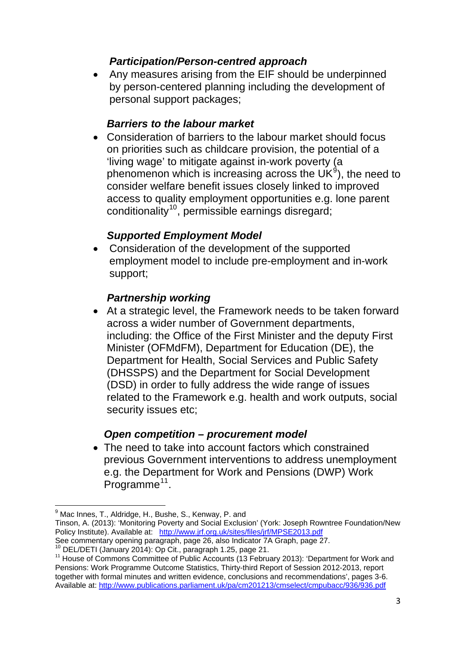### *Participation/Person-centred approach*

• Any measures arising from the EIF should be underpinned by person-centered planning including the development of personal support packages;

#### *Barriers to the labour market*

• Consideration of barriers to the labour market should focus on priorities such as childcare provision, the potential of a 'living wage' to mitigate against in-work poverty (a phenomenon which is increasing across the UK $9$ ), the need to consider welfare benefit issues closely linked to improved access to quality employment opportunities e.g. lone parent conditionality<sup>[10](#page-2-1)</sup>, permissible earnings disregard;

#### *Supported Employment Model*

• Consideration of the development of the supported employment model to include pre-employment and in-work support;

#### *Partnership working*

• At a strategic level, the Framework needs to be taken forward across a wider number of Government departments, including: the Office of the First Minister and the deputy First Minister (OFMdFM), Department for Education (DE), the Department for Health, Social Services and Public Safety (DHSSPS) and the Department for Social Development (DSD) in order to fully address the wide range of issues related to the Framework e.g. health and work outputs, social security issues etc;

#### *Open competition – procurement model*

• The need to take into account factors which constrained previous Government interventions to address unemployment e.g. the Department for Work and Pensions (DWP) Work Programme<sup>[11](#page-2-2)</sup>.

<sup>&</sup>lt;u> Andreas Andreas Andreas Andreas Andreas Andreas Andreas Andreas Andreas Andreas Andreas Andreas Andreas Andreas</u> <sup>9</sup> Mac Innes, T., Aldridge, H., Bushe, S., Kenway, P. and

<span id="page-2-0"></span>Tinson, A. (2013): 'Monitoring Poverty and Social Exclusion' (York: Joseph Rowntree Foundation/New Policy Institute). Available at: <http://www.jrf.org.uk/sites/files/jrf/MPSE2013.pdf><br>See commentary opening paragraph, page 26, also Indicator 7A Graph, page 27.

<span id="page-2-2"></span><span id="page-2-1"></span><sup>&</sup>lt;sup>10</sup> DEL/DETI (January 2014): Op Cit., paragraph 1.25, page 21.<br><sup>11</sup> House of Commons Committee of Public Accounts (13 February 2013): 'Department for Work and Pensions: Work Programme Outcome Statistics, Thirty-third Report of Session 2012-2013, report together with formal minutes and written evidence, conclusions and recommendations', pages 3-6. Available at:<http://www.publications.parliament.uk/pa/cm201213/cmselect/cmpubacc/936/936.pdf>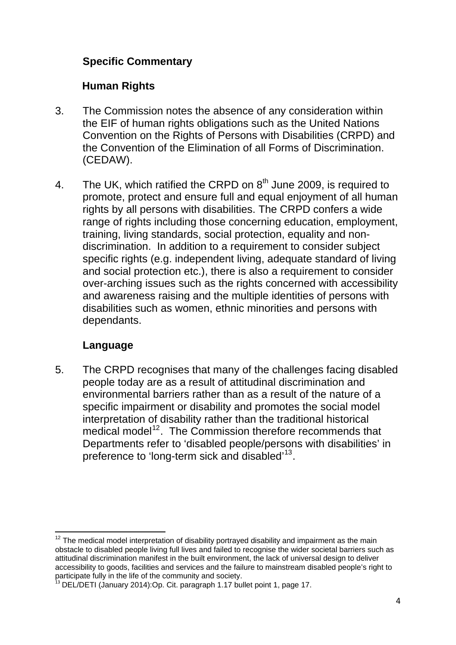# **Specific Commentary**

### **Human Rights**

- 3. The Commission notes the absence of any consideration within the EIF of human rights obligations such as the United Nations Convention on the Rights of Persons with Disabilities (CRPD) and the Convention of the Elimination of all Forms of Discrimination. (CEDAW).
- 4. The UK, which ratified the CRPD on  $8<sup>th</sup>$  June 2009, is required to promote, protect and ensure full and equal enjoyment of all human rights by all persons with disabilities. The CRPD confers a wide range of rights including those concerning education, employment, training, living standards, social protection, equality and nondiscrimination. In addition to a requirement to consider subject specific rights (e.g. independent living, adequate standard of living and social protection etc.), there is also a requirement to consider over-arching issues such as the rights concerned with accessibility and awareness raising and the multiple identities of persons with disabilities such as women, ethnic minorities and persons with dependants.

# **Language**

5. The CRPD recognises that many of the challenges facing disabled people today are as a result of attitudinal discrimination and environmental barriers rather than as a result of the nature of a specific impairment or disability and promotes the social model interpretation of disability rather than the traditional historical medical model<sup>[12](#page-3-0)</sup>. The Commission therefore recommends that Departments refer to 'disabled people/persons with disabilities' in preference to 'long-term sick and disabled'<sup>[13](#page-3-1)</sup>.

<span id="page-3-0"></span><sup>&</sup>lt;u> 1980 - Andrea Albert III, martin a bh</u>  $12$  The medical model interpretation of disability portrayed disability and impairment as the main obstacle to disabled people living full lives and failed to recognise the wider societal barriers such as attitudinal discrimination manifest in the built environment, the lack of universal design to deliver accessibility to goods, facilities and services and the failure to mainstream disabled people's right to participate fully in the life of the community and society.

<span id="page-3-1"></span><sup>&</sup>lt;sup>13</sup> DEL/DETI (January 2014):Op. Cit. paragraph 1.17 bullet point 1, page 17.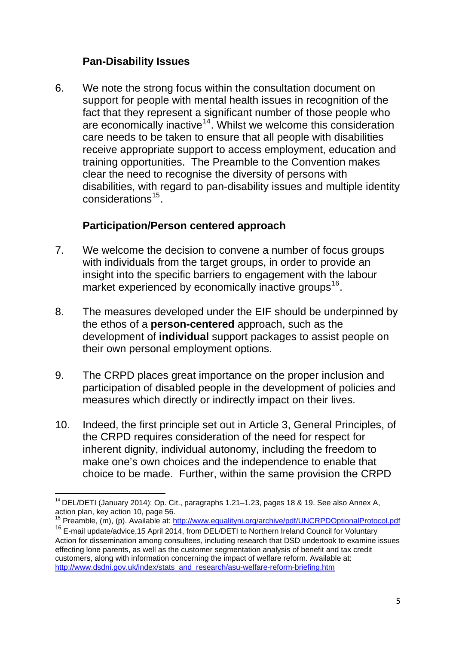#### **Pan-Disability Issues**

6. We note the strong focus within the consultation document on support for people with mental health issues in recognition of the fact that they represent a significant number of those people who are economically inactive<sup>[14](#page-4-0)</sup>. Whilst we welcome this consideration care needs to be taken to ensure that all people with disabilities receive appropriate support to access employment, education and training opportunities. The Preamble to the Convention makes clear the need to recognise the diversity of persons with disabilities, with regard to pan-disability issues and multiple identity considerations[15](#page-4-1).

# **Participation/Person centered approach**

- 7. We welcome the decision to convene a number of focus groups with individuals from the target groups, in order to provide an insight into the specific barriers to engagement with the labour market experienced by economically inactive groups<sup>[16](#page-4-2)</sup>.
- 8. The measures developed under the EIF should be underpinned by the ethos of a **person-centered** approach, such as the development of **individual** support packages to assist people on their own personal employment options.
- 9. The CRPD places great importance on the proper inclusion and participation of disabled people in the development of policies and measures which directly or indirectly impact on their lives.
- 10. Indeed, the first principle set out in Article 3, General Principles, of the CRPD requires consideration of the need for respect for inherent dignity, individual autonomy, including the freedom to make one's own choices and the independence to enable that choice to be made. Further, within the same provision the CRPD

<span id="page-4-0"></span>  $14$  DEL/DETI (January 2014): Op. Cit., paragraphs 1.21–1.23, pages 18 & 19. See also Annex A, action plan, key action 10, page 56.

<span id="page-4-1"></span><sup>&</sup>lt;sup>15</sup> Preamble, (m), (p). Available at: http://www.equalityni.org/archive/pdf/UNCRPDOptionalProtocol.pdf

<span id="page-4-2"></span><sup>&</sup>lt;sup>16</sup> E-mail update/advice, 15 April 2014, from DEL/DETI to Northern Ireland Council for Voluntary Action for dissemination among consultees, including research that DSD undertook to examine issues effecting lone parents, as well as the customer segmentation analysis of benefit and tax credit customers, along with information concerning the impact of welfare reform. Available at: [http://www.dsdni.gov.uk/index/stats\\_and\\_research/asu-welfare-reform-briefing.htm](http://www.dsdni.gov.uk/index/stats_and_research/asu-welfare-reform-briefing.htm)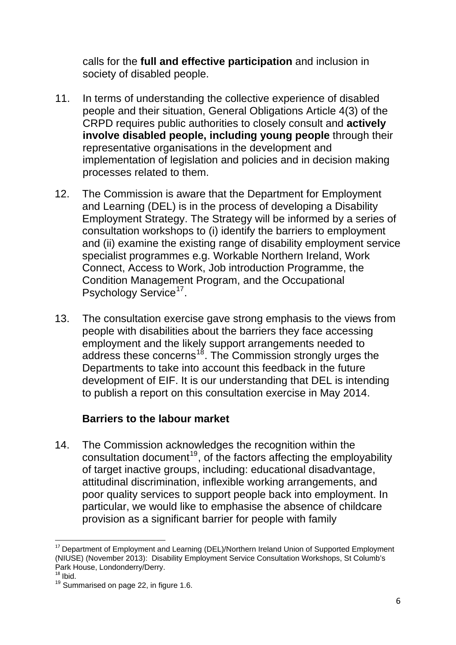calls for the **full and effective participation** and inclusion in society of disabled people.

- 11. In terms of understanding the collective experience of disabled people and their situation, General Obligations Article 4(3) of the CRPD requires public authorities to closely consult and **actively involve disabled people, including young people** through their representative organisations in the development and implementation of legislation and policies and in decision making processes related to them.
- 12. The Commission is aware that the Department for Employment and Learning (DEL) is in the process of developing a Disability Employment Strategy. The Strategy will be informed by a series of consultation workshops to (i) identify the barriers to employment and (ii) examine the existing range of disability employment service specialist programmes e.g. Workable Northern Ireland, Work Connect, Access to Work, Job introduction Programme, the Condition Management Program, and the Occupational Psychology Service<sup>[17](#page-5-0)</sup>.
- 13. The consultation exercise gave strong emphasis to the views from people with disabilities about the barriers they face accessing employment and the likely support arrangements needed to address these concerns<sup>[18](#page-5-1)</sup>. The Commission strongly urges the Departments to take into account this feedback in the future development of EIF. It is our understanding that DEL is intending to publish a report on this consultation exercise in May 2014.

# **Barriers to the labour market**

14. The Commission acknowledges the recognition within the consultation document<sup>[19](#page-5-2)</sup>, of the factors affecting the employability of target inactive groups, including: educational disadvantage, attitudinal discrimination, inflexible working arrangements, and poor quality services to support people back into employment. In particular, we would like to emphasise the absence of childcare provision as a significant barrier for people with family

<span id="page-5-0"></span> <sup>17</sup> Department of Employment and Learning (DEL)/Northern Ireland Union of Supported Employment (NIUSE) (November 2013): Disability Employment Service Consultation Workshops, St Columb's Park House, Londonderry/Derry.<br><sup>18</sup> Ibid.

<span id="page-5-1"></span>

<span id="page-5-2"></span> $19$  Summarised on page 22, in figure 1.6.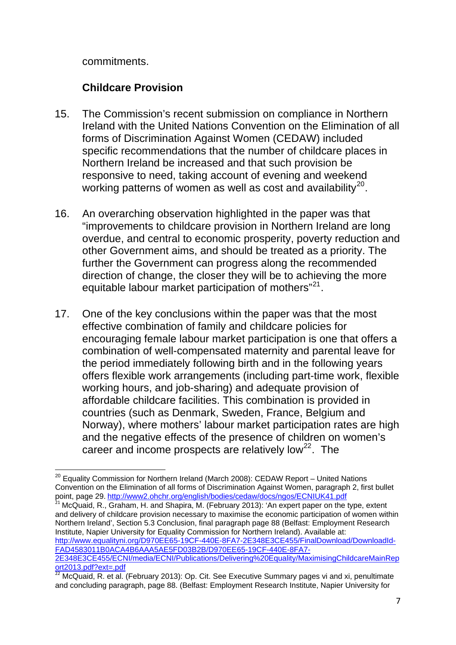commitments.

# **Childcare Provision**

- 15. The Commission's recent submission on compliance in Northern Ireland with the United Nations Convention on the Elimination of all forms of Discrimination Against Women (CEDAW) included specific recommendations that the number of childcare places in Northern Ireland be increased and that such provision be responsive to need, taking account of evening and weekend working patterns of women as well as cost and availability $^{20}$  $^{20}$  $^{20}$ .
- 16. An overarching observation highlighted in the paper was that "improvements to childcare provision in Northern Ireland are long overdue, and central to economic prosperity, poverty reduction and other Government aims, and should be treated as a priority. The further the Government can progress along the recommended direction of change, the closer they will be to achieving the more equitable labour market participation of mothers"<sup>[21](#page-6-1)</sup>.
- 17. One of the key conclusions within the paper was that the most effective combination of family and childcare policies for encouraging female labour market participation is one that offers a combination of well-compensated maternity and parental leave for the period immediately following birth and in the following years offers flexible work arrangements (including part-time work, flexible working hours, and job-sharing) and adequate provision of affordable childcare facilities. This combination is provided in countries (such as Denmark, Sweden, France, Belgium and Norway), where mothers' labour market participation rates are high and the negative effects of the presence of children on women's career and income prospects are relatively  $low<sup>22</sup>$  $low<sup>22</sup>$  $low<sup>22</sup>$ . The

<span id="page-6-1"></span> $21$  McQuaid, R., Graham, H. and Shapira, M. (February 2013): 'An expert paper on the type, extent and delivery of childcare provision necessary to maximise the economic participation of women within Northern Ireland', Section 5.3 Conclusion, final paragraph page 88 (Belfast: Employment Research Institute, Napier University for Equality Commission for Northern Ireland). Available at: [http://www.equalityni.org/D970EE65-19CF-440E-8FA7-2E348E3CE455/FinalDownload/DownloadId-](http://www.equalityni.org/D970EE65-19CF-440E-8FA7-2E348E3CE455/FinalDownload/DownloadId-FAD4583011B0ACA4B6AAA5AE5FD03B2B/D970EE65-19CF-440E-8FA7-2E348E3CE455/ECNI/media/ECNI/Publications/Delivering%20Equality/MaximisingChildcareMainReport2013.pdf?ext=.pdf)[FAD4583011B0ACA4B6AAA5AE5FD03B2B/D970EE65-19CF-440E-8FA7-](http://www.equalityni.org/D970EE65-19CF-440E-8FA7-2E348E3CE455/FinalDownload/DownloadId-FAD4583011B0ACA4B6AAA5AE5FD03B2B/D970EE65-19CF-440E-8FA7-2E348E3CE455/ECNI/media/ECNI/Publications/Delivering%20Equality/MaximisingChildcareMainReport2013.pdf?ext=.pdf) [2E348E3CE455/ECNI/media/ECNI/Publications/Delivering%20Equality/MaximisingChildcareMainRep](http://www.equalityni.org/D970EE65-19CF-440E-8FA7-2E348E3CE455/FinalDownload/DownloadId-FAD4583011B0ACA4B6AAA5AE5FD03B2B/D970EE65-19CF-440E-8FA7-2E348E3CE455/ECNI/media/ECNI/Publications/Delivering%20Equality/MaximisingChildcareMainReport2013.pdf?ext=.pdf) [ort2013.pdf?ext=.pdf](http://www.equalityni.org/D970EE65-19CF-440E-8FA7-2E348E3CE455/FinalDownload/DownloadId-FAD4583011B0ACA4B6AAA5AE5FD03B2B/D970EE65-19CF-440E-8FA7-2E348E3CE455/ECNI/media/ECNI/Publications/Delivering%20Equality/MaximisingChildcareMainReport2013.pdf?ext=.pdf)

<span id="page-6-0"></span>  $^{20}$  Equality Commission for Northern Ireland (March 2008): CEDAW Report – United Nations Convention on the Elimination of all forms of Discrimination Against Women, paragraph 2, first bullet point, page 29. <http://www2.ohchr.org/english/bodies/cedaw/docs/ngos/ECNIUK41.pdf>

<span id="page-6-2"></span><sup>&</sup>lt;sup>22</sup> McQuaid, R. et al. (February 2013): Op. Cit. See Executive Summary pages vi and xi, penultimate and concluding paragraph, page 88. (Belfast: Employment Research Institute, Napier University for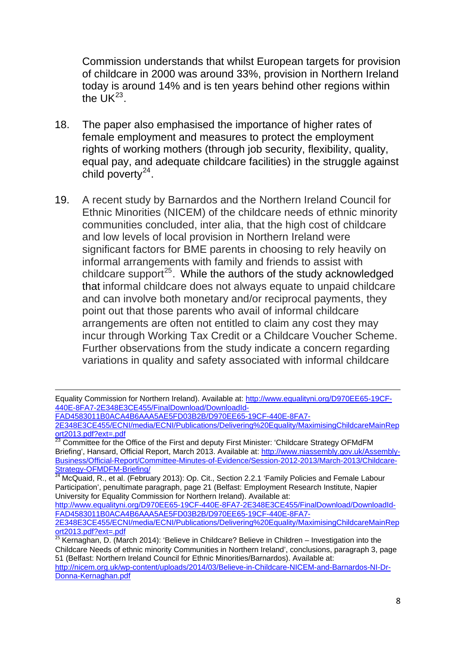Commission understands that whilst European targets for provision of childcare in 2000 was around 33%, provision in Northern Ireland today is around 14% and is ten years behind other regions within the  $UK^{23}$ .

- 18. The paper also emphasised the importance of higher rates of female employment and measures to protect the employment rights of working mothers (through job security, flexibility, quality, equal pay, and adequate childcare facilities) in the struggle against child poverty $^{24}$  $^{24}$  $^{24}$ .
- 19. A recent study by Barnardos and the Northern Ireland Council for Ethnic Minorities (NICEM) of the childcare needs of ethnic minority communities concluded, inter alia, that the high cost of childcare and low levels of local provision in Northern Ireland were significant factors for BME parents in choosing to rely heavily on informal arrangements with family and friends to assist with childcare support<sup>[25](#page-7-1)</sup>. While the authors of the study acknowledged that informal childcare does not always equate to unpaid childcare and can involve both monetary and/or reciprocal payments, they point out that those parents who avail of informal childcare arrangements are often not entitled to claim any cost they may incur through Working Tax Credit or a Childcare Voucher Scheme. Further observations from the study indicate a concern regarding variations in quality and safety associated with informal childcare

[FAD4583011B0ACA4B6AAA5AE5FD03B2B/D970EE65-19CF-440E-8FA7-](http://www.equalityni.org/D970EE65-19CF-440E-8FA7-2E348E3CE455/FinalDownload/DownloadId-FAD4583011B0ACA4B6AAA5AE5FD03B2B/D970EE65-19CF-440E-8FA7-2E348E3CE455/ECNI/media/ECNI/Publications/Delivering%20Equality/MaximisingChildcareMainReport2013.pdf?ext=.pdf)

[http://www.equalityni.org/D970EE65-19CF-440E-8FA7-2E348E3CE455/FinalDownload/DownloadId-](http://www.equalityni.org/D970EE65-19CF-440E-8FA7-2E348E3CE455/FinalDownload/DownloadId-FAD4583011B0ACA4B6AAA5AE5FD03B2B/D970EE65-19CF-440E-8FA7-2E348E3CE455/ECNI/media/ECNI/Publications/Delivering%20Equality/MaximisingChildcareMainReport2013.pdf?ext=.pdf)[FAD4583011B0ACA4B6AAA5AE5FD03B2B/D970EE65-19CF-440E-8FA7-](http://www.equalityni.org/D970EE65-19CF-440E-8FA7-2E348E3CE455/FinalDownload/DownloadId-FAD4583011B0ACA4B6AAA5AE5FD03B2B/D970EE65-19CF-440E-8FA7-2E348E3CE455/ECNI/media/ECNI/Publications/Delivering%20Equality/MaximisingChildcareMainReport2013.pdf?ext=.pdf)

<sup>&</sup>lt;u> 1989 - Andrea Station Andrea Station (1989), actor a component de la component de la component de la componen</u> Equality Commission for Northern Ireland). Available at: [http://www.equalityni.org/D970EE65-19CF-](http://www.equalityni.org/D970EE65-19CF-440E-8FA7-2E348E3CE455/FinalDownload/DownloadId-FAD4583011B0ACA4B6AAA5AE5FD03B2B/D970EE65-19CF-440E-8FA7-2E348E3CE455/ECNI/media/ECNI/Publications/Delivering%20Equality/MaximisingChildcareMainReport2013.pdf?ext=.pdf)[440E-8FA7-2E348E3CE455/FinalDownload/DownloadId-](http://www.equalityni.org/D970EE65-19CF-440E-8FA7-2E348E3CE455/FinalDownload/DownloadId-FAD4583011B0ACA4B6AAA5AE5FD03B2B/D970EE65-19CF-440E-8FA7-2E348E3CE455/ECNI/media/ECNI/Publications/Delivering%20Equality/MaximisingChildcareMainReport2013.pdf?ext=.pdf)

[<sup>2</sup>E348E3CE455/ECNI/media/ECNI/Publications/Delivering%20Equality/MaximisingChildcareMainRep](http://www.equalityni.org/D970EE65-19CF-440E-8FA7-2E348E3CE455/FinalDownload/DownloadId-FAD4583011B0ACA4B6AAA5AE5FD03B2B/D970EE65-19CF-440E-8FA7-2E348E3CE455/ECNI/media/ECNI/Publications/Delivering%20Equality/MaximisingChildcareMainReport2013.pdf?ext=.pdf) [ort2013.pdf?ext=.pdf](http://www.equalityni.org/D970EE65-19CF-440E-8FA7-2E348E3CE455/FinalDownload/DownloadId-FAD4583011B0ACA4B6AAA5AE5FD03B2B/D970EE65-19CF-440E-8FA7-2E348E3CE455/ECNI/media/ECNI/Publications/Delivering%20Equality/MaximisingChildcareMainReport2013.pdf?ext=.pdf)

<sup>23</sup> Committee for the Office of the First and deputy First Minister: 'Childcare Strategy OFMdFM Briefing', Hansard, Official Report, March 2013. Available at: [http://www.niassembly.gov.uk/Assembly-](http://www.niassembly.gov.uk/Assembly-Business/Official-Report/Committee-Minutes-of-Evidence/Session-2012-2013/March-2013/Childcare-Strategy-OFMDFM-Briefing/)[Business/Official-Report/Committee-Minutes-of-Evidence/Session-2012-2013/March-2013/Childcare-](http://www.niassembly.gov.uk/Assembly-Business/Official-Report/Committee-Minutes-of-Evidence/Session-2012-2013/March-2013/Childcare-Strategy-OFMDFM-Briefing/)[Strategy-OFMDFM-Briefing/](http://www.niassembly.gov.uk/Assembly-Business/Official-Report/Committee-Minutes-of-Evidence/Session-2012-2013/March-2013/Childcare-Strategy-OFMDFM-Briefing/) 

<span id="page-7-0"></span><sup>&</sup>lt;sup>24</sup> McQuaid, R., et al. (February 2013): Op. Cit., Section 2.2.1 'Family Policies and Female Labour Participation', penultimate paragraph, page 21 (Belfast: Employment Research Institute, Napier University for Equality Commission for Northern Ireland). Available at:

[<sup>2</sup>E348E3CE455/ECNI/media/ECNI/Publications/Delivering%20Equality/MaximisingChildcareMainRep](http://www.equalityni.org/D970EE65-19CF-440E-8FA7-2E348E3CE455/FinalDownload/DownloadId-FAD4583011B0ACA4B6AAA5AE5FD03B2B/D970EE65-19CF-440E-8FA7-2E348E3CE455/ECNI/media/ECNI/Publications/Delivering%20Equality/MaximisingChildcareMainReport2013.pdf?ext=.pdf) [ort2013.pdf?ext=.pdf](http://www.equalityni.org/D970EE65-19CF-440E-8FA7-2E348E3CE455/FinalDownload/DownloadId-FAD4583011B0ACA4B6AAA5AE5FD03B2B/D970EE65-19CF-440E-8FA7-2E348E3CE455/ECNI/media/ECNI/Publications/Delivering%20Equality/MaximisingChildcareMainReport2013.pdf?ext=.pdf)

<span id="page-7-1"></span> $25$  Kernaghan, D. (March 2014): 'Believe in Childcare? Believe in Children – Investigation into the Childcare Needs of ethnic minority Communities in Northern Ireland', conclusions, paragraph 3, page 51 (Belfast: Northern Ireland Council for Ethnic Minorities/Barnardos). Available at:

[http://nicem.org.uk/wp-content/uploads/2014/03/Believe-in-Childcare-NICEM-and-Barnardos-NI-Dr-](http://nicem.org.uk/wp-content/uploads/2014/03/Believe-in-Childcare-NICEM-and-Barnardos-NI-Dr-Donna-Kernaghan.pdf)[Donna-Kernaghan.pdf](http://nicem.org.uk/wp-content/uploads/2014/03/Believe-in-Childcare-NICEM-and-Barnardos-NI-Dr-Donna-Kernaghan.pdf)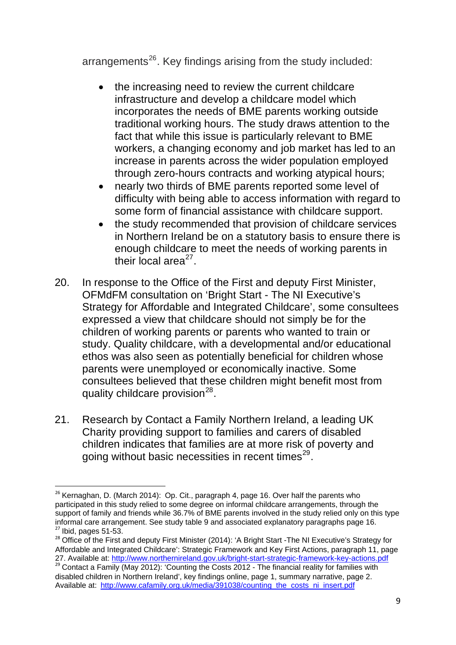arrangements<sup>26</sup>. Key findings arising from the study included:

- the increasing need to review the current childcare infrastructure and develop a childcare model which incorporates the needs of BME parents working outside traditional working hours. The study draws attention to the fact that while this issue is particularly relevant to BME workers, a changing economy and job market has led to an increase in parents across the wider population employed through zero-hours contracts and working atypical hours;
- nearly two thirds of BME parents reported some level of difficulty with being able to access information with regard to some form of financial assistance with childcare support.
- the study recommended that provision of childcare services in Northern Ireland be on a statutory basis to ensure there is enough childcare to meet the needs of working parents in their local area $^{27}$  $^{27}$  $^{27}$ .
- 20. In response to the Office of the First and deputy First Minister, OFMdFM consultation on 'Bright Start - The NI Executive's Strategy for Affordable and Integrated Childcare', some consultees expressed a view that childcare should not simply be for the children of working parents or parents who wanted to train or study. Quality childcare, with a developmental and/or educational ethos was also seen as potentially beneficial for children whose parents were unemployed or economically inactive. Some consultees believed that these children might benefit most from quality childcare provision $^{28}$  $^{28}$  $^{28}$ .
- 21. Research by Contact a Family Northern Ireland, a leading UK Charity providing support to families and carers of disabled children indicates that families are at more risk of poverty and going without basic necessities in recent times $^{29}$  $^{29}$  $^{29}$ .

  $26$  Kernaghan, D. (March 2014): Op. Cit., paragraph 4, page 16. Over half the parents who participated in this study relied to some degree on informal childcare arrangements, through the support of family and friends while 36.7% of BME parents involved in the study relied only on this type informal care arrangement. See study table 9 and associated explanatory paragraphs page 16.  $27$  Ibid. pages 51-53.

<span id="page-8-1"></span><span id="page-8-0"></span><sup>&</sup>lt;sup>28</sup> Office of the First and deputy First Minister (2014): 'A Bright Start -The NI Executive's Strategy for Affordable and Integrated Childcare': Strategic Framework and Key First Actions, paragraph 11, page 27. Available at: <http://www.northernireland.gov.uk/bright-start-strategic-framework-key-actions.pdf>

<span id="page-8-2"></span><sup>&</sup>lt;sup>29</sup> Contact a Family (May 2012): 'Counting the Costs 2012 - The financial reality for families with disabled children in Northern Ireland', key findings online, page 1, summary narrative, page 2. Available at: [http://www.cafamily.org.uk/media/391038/counting\\_the\\_costs\\_ni\\_insert.pdf](http://www.cafamily.org.uk/media/391038/counting_the_costs_ni_insert.pdf)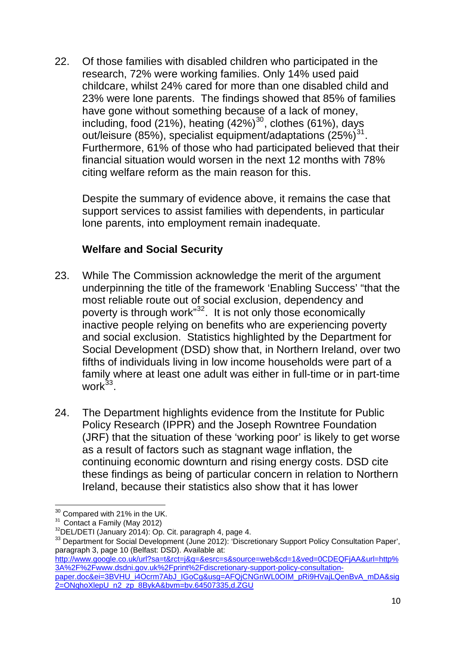22. Of those families with disabled children who participated in the research, 72% were working families. Only 14% used paid childcare, whilst 24% cared for more than one disabled child and 23% were lone parents. The findings showed that 85% of families have gone without something because of a lack of money, including, food (21%), heating  $(42\%)^{30}$  $(42\%)^{30}$  $(42\%)^{30}$ , clothes (61%), days out/leisure (85%), specialist equipment/adaptations (25%)<sup>[31](#page-9-1)</sup>. Furthermore, 61% of those who had participated believed that their financial situation would worsen in the next 12 months with 78% citing welfare reform as the main reason for this.

Despite the summary of evidence above, it remains the case that support services to assist families with dependents, in particular lone parents, into employment remain inadequate.

### **Welfare and Social Security**

- 23. While The Commission acknowledge the merit of the argument underpinning the title of the framework 'Enabling Success' "that the most reliable route out of social exclusion, dependency and poverty is through work"<sup>[32](#page-9-2)</sup>. It is not only those economically inactive people relying on benefits who are experiencing poverty and social exclusion. Statistics highlighted by the Department for Social Development (DSD) show that, in Northern Ireland, over two fifths of individuals living in low income households were part of a family where at least one adult was either in full-time or in part-time work $33$ .
- 24. The Department highlights evidence from the Institute for Public Policy Research (IPPR) and the Joseph Rowntree Foundation (JRF) that the situation of these 'working poor' is likely to get worse as a result of factors such as stagnant wage inflation, the continuing economic downturn and rising energy costs. DSD cite these findings as being of particular concern in relation to Northern Ireland, because their statistics also show that it has lower

<span id="page-9-0"></span><sup>&</sup>lt;u> 1980 - Andrea Andrew Maria (h. 1980).</u><br>Demografia  $30$  Compared with 21% in the UK.<br> $31$  Contact a Family (May 2012)

<span id="page-9-3"></span><span id="page-9-2"></span><span id="page-9-1"></span> $32$ DEL/DETI (January 2014): Op. Cit. paragraph 4, page 4.<br> $33$  Department for Social Development (June 2012): 'Discretionary Support Policy Consultation Paper', paragraph 3, page 10 (Belfast: DSD). Available at:

[http://www.google.co.uk/url?sa=t&rct=j&q=&esrc=s&source=web&cd=1&ved=0CDEQFjAA&url=http%](http://www.google.co.uk/url?sa=t&rct=j&q=&esrc=s&source=web&cd=1&ved=0CDEQFjAA&url=http%3A%2F%2Fwww.dsdni.gov.uk%2Fprint%2Fdiscretionary-support-policy-consultation-paper.doc&ei=3BVHU_i4Ocrm7AbJ_IGoCg&usg=AFQjCNGnWL0OIM_pRi9HVajLQenBvA_mDA&sig2=ONqhoXlepU_n2_zp_8BykA&bvm=bv.64507335,d.ZGU) [3A%2F%2Fwww.dsdni.gov.uk%2Fprint%2Fdiscretionary-support-policy-consultation](http://www.google.co.uk/url?sa=t&rct=j&q=&esrc=s&source=web&cd=1&ved=0CDEQFjAA&url=http%3A%2F%2Fwww.dsdni.gov.uk%2Fprint%2Fdiscretionary-support-policy-consultation-paper.doc&ei=3BVHU_i4Ocrm7AbJ_IGoCg&usg=AFQjCNGnWL0OIM_pRi9HVajLQenBvA_mDA&sig2=ONqhoXlepU_n2_zp_8BykA&bvm=bv.64507335,d.ZGU)[paper.doc&ei=3BVHU\\_i4Ocrm7AbJ\\_IGoCg&usg=AFQjCNGnWL0OIM\\_pRi9HVajLQenBvA\\_mDA&sig](http://www.google.co.uk/url?sa=t&rct=j&q=&esrc=s&source=web&cd=1&ved=0CDEQFjAA&url=http%3A%2F%2Fwww.dsdni.gov.uk%2Fprint%2Fdiscretionary-support-policy-consultation-paper.doc&ei=3BVHU_i4Ocrm7AbJ_IGoCg&usg=AFQjCNGnWL0OIM_pRi9HVajLQenBvA_mDA&sig2=ONqhoXlepU_n2_zp_8BykA&bvm=bv.64507335,d.ZGU) [2=ONqhoXlepU\\_n2\\_zp\\_8BykA&bvm=bv.64507335,d.ZGU](http://www.google.co.uk/url?sa=t&rct=j&q=&esrc=s&source=web&cd=1&ved=0CDEQFjAA&url=http%3A%2F%2Fwww.dsdni.gov.uk%2Fprint%2Fdiscretionary-support-policy-consultation-paper.doc&ei=3BVHU_i4Ocrm7AbJ_IGoCg&usg=AFQjCNGnWL0OIM_pRi9HVajLQenBvA_mDA&sig2=ONqhoXlepU_n2_zp_8BykA&bvm=bv.64507335,d.ZGU)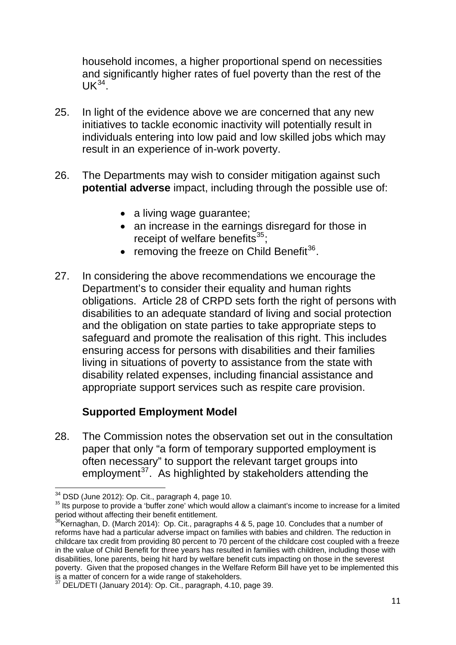household incomes, a higher proportional spend on necessities and significantly higher rates of fuel poverty than the rest of the  $UK^{34}$ .

- 25. In light of the evidence above we are concerned that any new initiatives to tackle economic inactivity will potentially result in individuals entering into low paid and low skilled jobs which may result in an experience of in-work poverty.
- 26. The Departments may wish to consider mitigation against such **potential adverse** impact, including through the possible use of:
	- a living wage guarantee;
	- an increase in the earnings disregard for those in receipt of welfare benefits $35$ ;
	- removing the freeze on Child Benefit<sup>[36](#page-10-1)</sup>.
- 27. In considering the above recommendations we encourage the Department's to consider their equality and human rights obligations. Article 28 of CRPD sets forth the right of persons with disabilities to an adequate standard of living and social protection and the obligation on state parties to take appropriate steps to safeguard and promote the realisation of this right. This includes ensuring access for persons with disabilities and their families living in situations of poverty to assistance from the state with disability related expenses, including financial assistance and appropriate support services such as respite care provision.

# **Supported Employment Model**

28. The Commission notes the observation set out in the consultation paper that only "a form of temporary supported employment is often necessary" to support the relevant target groups into employment<sup>[37](#page-10-2)</sup>. As highlighted by stakeholders attending the

<sup>&</sup>lt;sup>34</sup> DSD (June 2012): Op. Cit., paragraph 4, page 10.

<span id="page-10-0"></span><sup>&</sup>lt;sup>35</sup> Its purpose to provide a 'buffer zone' which would allow a claimant's income to increase for a limited period without affecting their benefit entitlement.

<span id="page-10-1"></span> $36$ Kernaghan, D. (March 2014): Op. Cit., paragraphs 4 & 5, page 10. Concludes that a number of reforms have had a particular adverse impact on families with babies and children. The reduction in childcare tax credit from providing 80 percent to 70 percent of the childcare cost coupled with a freeze in the value of Child Benefit for three years has resulted in families with children, including those with disabilities, lone parents, being hit hard by welfare benefit cuts impacting on those in the severest poverty. Given that the proposed changes in the Welfare Reform Bill have yet to be implemented this is a matter of concern for a wide range of stakeholders.

<span id="page-10-2"></span><sup>37</sup> DEL/DETI (January 2014): Op. Cit., paragraph, 4.10, page 39.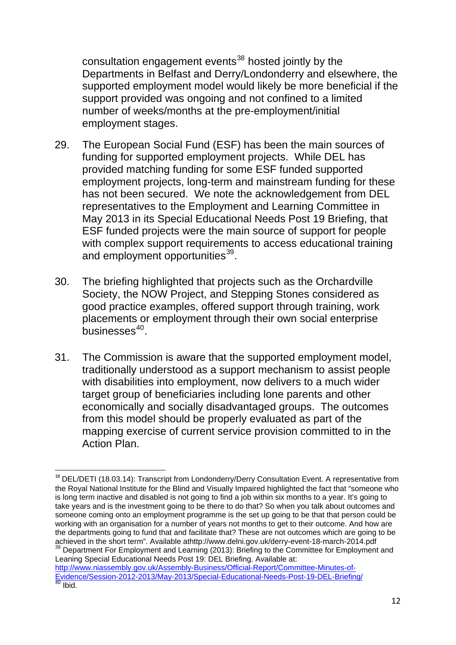consultation engagement events<sup>38</sup> hosted jointly by the Departments in Belfast and Derry/Londonderry and elsewhere, the supported employment model would likely be more beneficial if the support provided was ongoing and not confined to a limited number of weeks/months at the pre-employment/initial employment stages.

- 29. The European Social Fund (ESF) has been the main sources of funding for supported employment projects. While DEL has provided matching funding for some ESF funded supported employment projects, long-term and mainstream funding for these has not been secured. We note the acknowledgement from DEL representatives to the Employment and Learning Committee in May 2013 in its Special Educational Needs Post 19 Briefing, that ESF funded projects were the main source of support for people with complex support requirements to access educational training and employment opportunities<sup>[39](#page-11-0)</sup>.
- 30. The briefing highlighted that projects such as the Orchardville Society, the NOW Project, and Stepping Stones considered as good practice examples, offered support through training, work placements or employment through their own social enterprise  $b$ usinesses $40$ .
- 31. The Commission is aware that the supported employment model, traditionally understood as a support mechanism to assist people with disabilities into employment, now delivers to a much wider target group of beneficiaries including lone parents and other economically and socially disadvantaged groups. The outcomes from this model should be properly evaluated as part of the mapping exercise of current service provision committed to in the Action Plan.

<span id="page-11-0"></span>Leaning Special Educational Needs Post 19: DEL Briefing. Available at:

<span id="page-11-1"></span>[http://www.niassembly.gov.uk/Assembly-Business/Official-Report/Committee-Minutes-of-](http://www.niassembly.gov.uk/Assembly-Business/Official-Report/Committee-Minutes-of-Evidence/Session-2012-2013/May-2013/Special-Educational-Needs-Post-19-DEL-Briefing/)[Evidence/Session-2012-2013/May-2013/Special-Educational-Needs-Post-19-DEL-Briefing/](http://www.niassembly.gov.uk/Assembly-Business/Official-Report/Committee-Minutes-of-Evidence/Session-2012-2013/May-2013/Special-Educational-Needs-Post-19-DEL-Briefing/)<br><sup>40</sup> Ibid.

 <sup>38</sup> DEL/DETI (18.03.14): Transcript from Londonderry/Derry Consultation Event. A representative from the Royal National Institute for the Blind and Visually Impaired highlighted the fact that "someone who is long term inactive and disabled is not going to find a job within six months to a year. It's going to take years and is the investment going to be there to do that? So when you talk about outcomes and someone coming onto an employment programme is the set up going to be that that person could be working with an organisation for a number of years not months to get to their outcome. And how are the departments going to fund that and facilitate that? These are not outcomes which are going to be achieved in the short term". Available athttp://www.delni.gov.uk/derry-event-18-march-2014.pdf <sup>39</sup> Department For Employment and Learning (2013): Briefing to the Committee for Employment and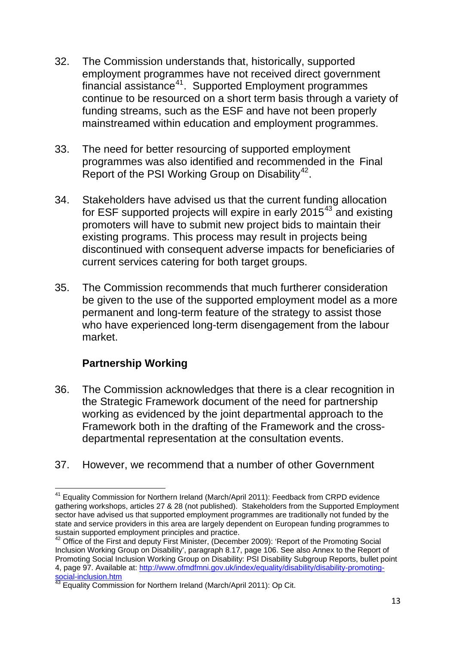- 32. The Commission understands that, historically, supported employment programmes have not received direct government financial assistance<sup>[41](#page-12-0)</sup>. Supported Employment programmes continue to be resourced on a short term basis through a variety of funding streams, such as the ESF and have not been properly mainstreamed within education and employment programmes.
- 33. The need for better resourcing of supported employment programmes was also identified and recommended in the Final Report of the PSI Working Group on Disability<sup>[42](#page-12-1)</sup>.
- 34. Stakeholders have advised us that the current funding allocation for ESF supported projects will expire in early 2015<sup>[43](#page-12-2)</sup> and existing promoters will have to submit new project bids to maintain their existing programs. This process may result in projects being discontinued with consequent adverse impacts for beneficiaries of current services catering for both target groups.
- 35. The Commission recommends that much furtherer consideration be given to the use of the supported employment model as a more permanent and long-term feature of the strategy to assist those who have experienced long-term disengagement from the labour market.

# **Partnership Working**

- 36. The Commission acknowledges that there is a clear recognition in the Strategic Framework document of the need for partnership working as evidenced by the joint departmental approach to the Framework both in the drafting of the Framework and the crossdepartmental representation at the consultation events.
- 37. However, we recommend that a number of other Government

<span id="page-12-0"></span> <sup>41</sup> Equality Commission for Northern Ireland (March/April 2011): Feedback from CRPD evidence gathering workshops, articles 27 & 28 (not published). Stakeholders from the Supported Employment sector have advised us that supported employment programmes are traditionally not funded by the state and service providers in this area are largely dependent on European funding programmes to sustain supported employment principles and practice.

<span id="page-12-1"></span><sup>&</sup>lt;sup>42</sup> Office of the First and deputy First Minister, (December 2009): 'Report of the Promoting Social Inclusion Working Group on Disability', paragraph 8.17, page 106. See also Annex to the Report of Promoting Social Inclusion Working Group on Disability: PSI Disability Subgroup Reports, bullet point 4, page 97. Available at: [http://www.ofmdfmni.gov.uk/index/equality/disability/disability-promoting-](http://www.ofmdfmni.gov.uk/index/equality/disability/disability-promoting-social-inclusion.htm)

<span id="page-12-2"></span>[social-inclusion.htm](http://www.ofmdfmni.gov.uk/index/equality/disability/disability-promoting-social-inclusion.htm)<br><sup>[43](http://www.ofmdfmni.gov.uk/index/equality/disability/disability-promoting-social-inclusion.htm)</sup> Equality Commission for Northern Ireland (March/April 2011): Op Cit.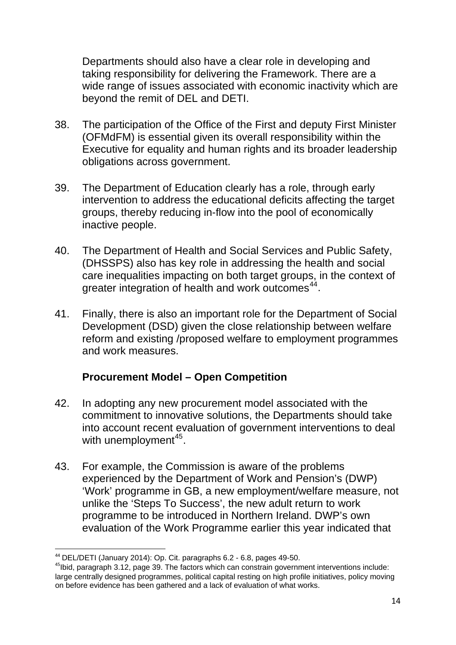Departments should also have a clear role in developing and taking responsibility for delivering the Framework. There are a wide range of issues associated with economic inactivity which are beyond the remit of DEL and DETI.

- 38. The participation of the Office of the First and deputy First Minister (OFMdFM) is essential given its overall responsibility within the Executive for equality and human rights and its broader leadership obligations across government.
- 39. The Department of Education clearly has a role, through early intervention to address the educational deficits affecting the target groups, thereby reducing in-flow into the pool of economically inactive people.
- 40. The Department of Health and Social Services and Public Safety, (DHSSPS) also has key role in addressing the health and social care inequalities impacting on both target groups, in the context of greater integration of health and work outcomes<sup>[44](#page-13-0)</sup>.
- 41. Finally, there is also an important role for the Department of Social Development (DSD) given the close relationship between welfare reform and existing /proposed welfare to employment programmes and work measures.

#### **Procurement Model – Open Competition**

- 42. In adopting any new procurement model associated with the commitment to innovative solutions, the Departments should take into account recent evaluation of government interventions to deal with unemployment<sup>[45](#page-13-1)</sup>.
- 43. For example, the Commission is aware of the problems experienced by the Department of Work and Pension's (DWP) 'Work' programme in GB, a new employment/welfare measure, not unlike the 'Steps To Success', the new adult return to work programme to be introduced in Northern Ireland. DWP's own evaluation of the Work Programme earlier this year indicated that

 <sup>44</sup> DEL/DETI (January 2014): Op. Cit. paragraphs 6.2 - 6.8, pages 49-50.

<span id="page-13-1"></span><span id="page-13-0"></span> $45$ Ibid, paragraph 3.12, page 39. The factors which can constrain government interventions include: large centrally designed programmes, political capital resting on high profile initiatives, policy moving on before evidence has been gathered and a lack of evaluation of what works.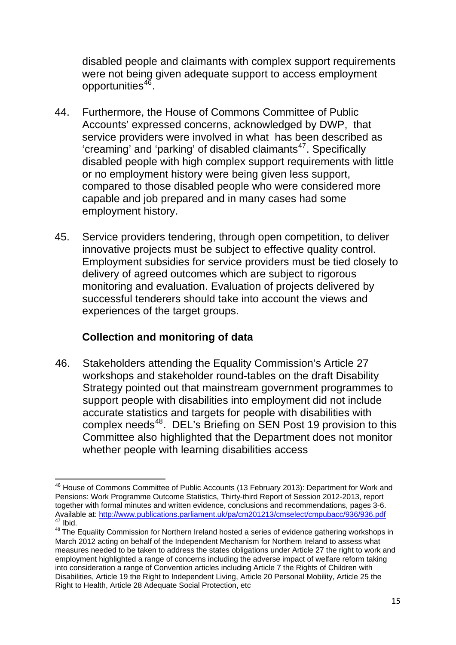disabled people and claimants with complex support requirements were not being given adequate support to access employment opportunities<sup>46</sup>.

- 44. Furthermore, the House of Commons Committee of Public Accounts' expressed concerns, acknowledged by DWP, that service providers were involved in what has been described as 'creaming' and 'parking' of disabled claimants<sup>[47](#page-14-0)</sup>. Specifically disabled people with high complex support requirements with little or no employment history were being given less support, compared to those disabled people who were considered more capable and job prepared and in many cases had some employment history.
- 45. Service providers tendering, through open competition, to deliver innovative projects must be subject to effective quality control. Employment subsidies for service providers must be tied closely to delivery of agreed outcomes which are subject to rigorous monitoring and evaluation. Evaluation of projects delivered by successful tenderers should take into account the views and experiences of the target groups.

# **Collection and monitoring of data**

46. Stakeholders attending the Equality Commission's Article 27 workshops and stakeholder round-tables on the draft Disability Strategy pointed out that mainstream government programmes to support people with disabilities into employment did not include accurate statistics and targets for people with disabilities with complex needs<sup>[48](#page-14-1)</sup>. DEL's Briefing on SEN Post 19 provision to this Committee also highlighted that the Department does not monitor whether people with learning disabilities access

<sup>&</sup>lt;u> 1980 - Andrea Andrew Maria (h. 1980).</u><br>1900 - Andrew Maria (h. 1900). <sup>46</sup> House of Commons Committee of Public Accounts (13 February 2013): Department for Work and Pensions: Work Programme Outcome Statistics, Thirty-third Report of Session 2012-2013, report together with formal minutes and written evidence, conclusions and recommendations, pages 3-6. Available at:<http://www.publications.parliament.uk/pa/cm201213/cmselect/cmpubacc/936/936.pdf>47 Ibid.<br>
48 The Equality Commission for Northern Ireland hosted a series of evidence gathering workshops in

<span id="page-14-1"></span><span id="page-14-0"></span>March 2012 acting on behalf of the Independent Mechanism for Northern Ireland to assess what measures needed to be taken to address the states obligations under Article 27 the right to work and employment highlighted a range of concerns including the adverse impact of welfare reform taking into consideration a range of Convention articles including Article 7 the Rights of Children with Disabilities, Article 19 the Right to Independent Living, Article 20 Personal Mobility, Article 25 the Right to Health, Article 28 Adequate Social Protection, etc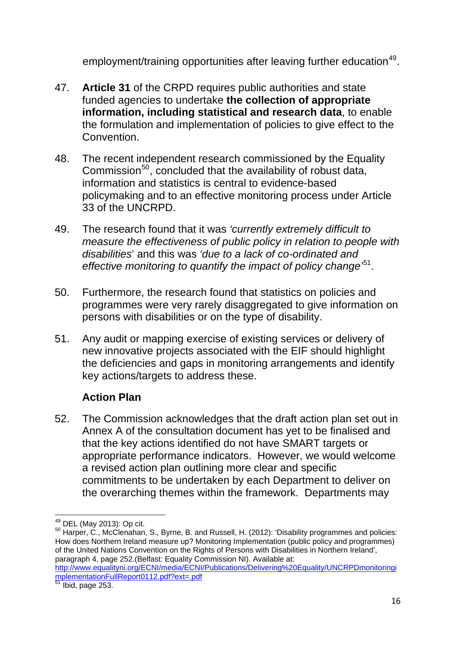employment/training opportunities after leaving further education<sup>49</sup>.

- 47. **Article 31** of the CRPD requires public authorities and state funded agencies to undertake **the collection of appropriate information, including statistical and research data**, to enable the formulation and implementation of policies to give effect to the Convention.
- 48. The recent independent research commissioned by the Equality Commission $^{50}$  $^{50}$  $^{50}$ , concluded that the availability of robust data, information and statistics is central to evidence-based policymaking and to an effective monitoring process under Article 33 of the UNCRPD.
- 49. The research found that it was *'currently extremely difficult to measure the effectiveness of public policy in relation to people with disabilities*' and this was *'due to a lack of co-ordinated and effective monitoring to quantify the impact of policy change'*[51](#page-15-1)*.*
- 50. Furthermore, the research found that statistics on policies and programmes were very rarely disaggregated to give information on persons with disabilities or on the type of disability.
- 51. Any audit or mapping exercise of existing services or delivery of new innovative projects associated with the EIF should highlight the deficiencies and gaps in monitoring arrangements and identify key actions/targets to address these.

# **Action Plan**

52. The Commission acknowledges that the draft action plan set out in Annex A of the consultation document has yet to be finalised and that the key actions identified do not have SMART targets or appropriate performance indicators. However, we would welcome a revised action plan outlining more clear and specific commitments to be undertaken by each Department to deliver on the overarching themes within the framework. Departments may

<span id="page-15-0"></span> $^{49}$  DEL (May 2013): Op cit.<br><sup>50</sup> Harper, C., McClenahan, S., Byrne, B. and Russell, H. (2012): 'Disability programmes and policies: How does Northern Ireland measure up? Monitoring Implementation (public policy and programmes) of the United Nations Convention on the Rights of Persons with Disabilities in Northern Ireland'. paragraph 4, page 252.(Belfast: Equality Commission NI). Available at: [http://www.equalityni.org/ECNI/media/ECNI/Publications/Delivering%20Equality/UNCRPDmonitoringi](http://www.equalityni.org/ECNI/media/ECNI/Publications/Delivering%20Equality/UNCRPDmonitoringimplementationFullReport0112.pdf?ext=.pdf) [mplementationFullReport0112.pdf?ext=.pdf](http://www.equalityni.org/ECNI/media/ECNI/Publications/Delivering%20Equality/UNCRPDmonitoringimplementationFullReport0112.pdf?ext=.pdf)

<span id="page-15-1"></span> $<sup>51</sup>$  Ibid, page 253.</sup>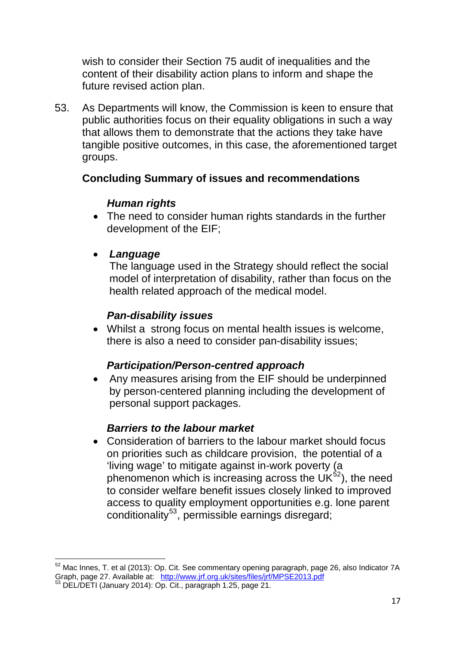wish to consider their Section 75 audit of inequalities and the content of their disability action plans to inform and shape the future revised action plan.

53. As Departments will know, the Commission is keen to ensure that public authorities focus on their equality obligations in such a way that allows them to demonstrate that the actions they take have tangible positive outcomes, in this case, the aforementioned target groups.

#### **Concluding Summary of issues and recommendations**

### *Human rights*

• The need to consider human rights standards in the further development of the EIF;

# • *Language*

The language used in the Strategy should reflect the social model of interpretation of disability, rather than focus on the health related approach of the medical model.

### *Pan-disability issues*

• Whilst a strong focus on mental health issues is welcome, there is also a need to consider pan-disability issues;

# *Participation/Person-centred approach*

• Any measures arising from the EIF should be underpinned by person-centered planning including the development of personal support packages.

# *Barriers to the labour market*

• Consideration of barriers to the labour market should focus on priorities such as childcare provision, the potential of a 'living wage' to mitigate against in-work poverty (a phenomenon which is increasing across the  $UK<sup>32</sup>$ ), the need to consider welfare benefit issues closely linked to improved access to quality employment opportunities e.g. lone parent conditionality<sup>[53](#page-16-1)</sup>, permissible earnings disregard;

<span id="page-16-0"></span><sup>&</sup>lt;u> - Andreas Andreas Andreas Andreas Andreas Andreas Andreas Andreas Andreas Andreas Andreas Andreas Andreas And</u>  $52$  Mac Innes, T. et al (2013): Op. Cit. See commentary opening paragraph, page 26, also Indicator 7A<br>Graph, page 27. Available at: http://www.jrf.org.uk/sites/files/jrf/MPSE2013.pdf

<span id="page-16-1"></span>Graph, page 27. Available at: http://www.jr.org.uk/sites/files/files/files/files/files/files/files/files/files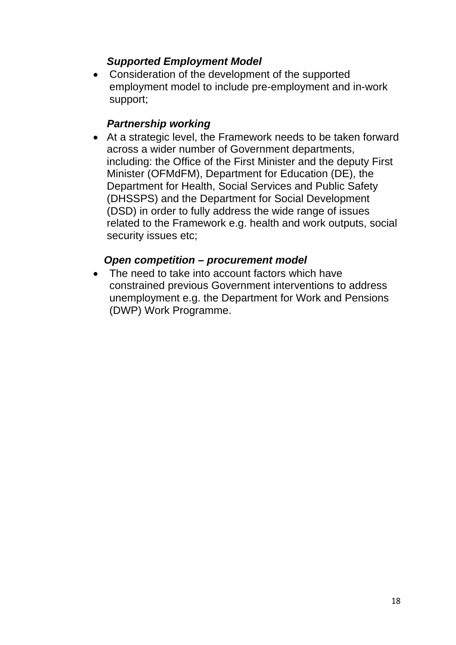### *Supported Employment Model*

• Consideration of the development of the supported employment model to include pre-employment and in-work support;

#### *Partnership working*

• At a strategic level, the Framework needs to be taken forward across a wider number of Government departments, including: the Office of the First Minister and the deputy First Minister (OFMdFM), Department for Education (DE), the Department for Health, Social Services and Public Safety (DHSSPS) and the Department for Social Development (DSD) in order to fully address the wide range of issues related to the Framework e.g. health and work outputs, social security issues etc;

### *Open competition – procurement model*

• The need to take into account factors which have constrained previous Government interventions to address unemployment e.g. the Department for Work and Pensions (DWP) Work Programme.